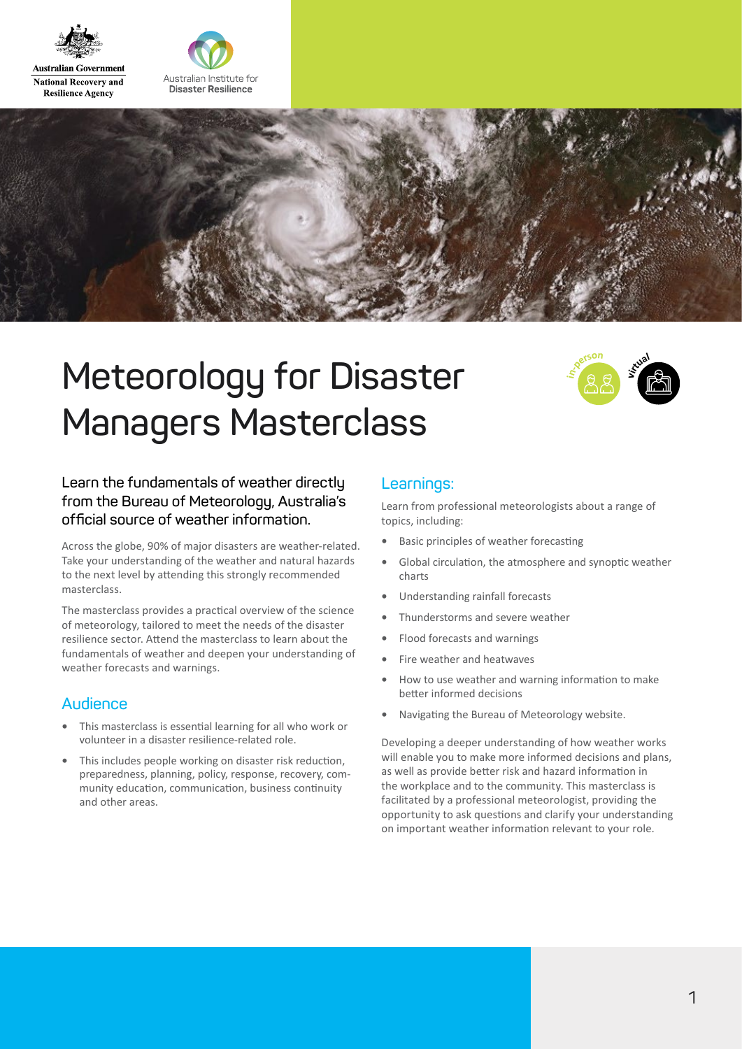

**Australian Government National Recovery and Resilience Agency** 





# **Meteorology for Disaster Managers Masterclass**



### **Learn the fundamentals of weather directly from the Bureau of Meteorology, Australia's official source of weather information.**

Across the globe, 90% of major disasters are weather-related. Take your understanding of the weather and natural hazards to the next level by attending this strongly recommended masterclass.

The masterclass provides a practical overview of the science of meteorology, tailored to meet the needs of the disaster resilience sector. Attend the masterclass to learn about the fundamentals of weather and deepen your understanding of weather forecasts and warnings.

### **Audience**

- **•** This masterclass is essential learning for all who work or volunteer in a disaster resilience-related role.
- **•** This includes people working on disaster risk reduction, preparedness, planning, policy, response, recovery, community education, communication, business continuity and other areas.

### **Learnings:**

Learn from professional meteorologists about a range of topics, including:

- **•** Basic principles of weather forecasting
- **•** Global circulation, the atmosphere and synoptic weather charts
- **•** Understanding rainfall forecasts
- **•** Thunderstorms and severe weather
- **•** Flood forecasts and warnings
- **•** Fire weather and heatwaves
- **•** How to use weather and warning information to make better informed decisions
- **•** Navigating the Bureau of Meteorology website.

Developing a deeper understanding of how weather works will enable you to make more informed decisions and plans, as well as provide better risk and hazard information in the workplace and to the community. This masterclass is facilitated by a professional meteorologist, providing the opportunity to ask questions and clarify your understanding on important weather information relevant to your role.